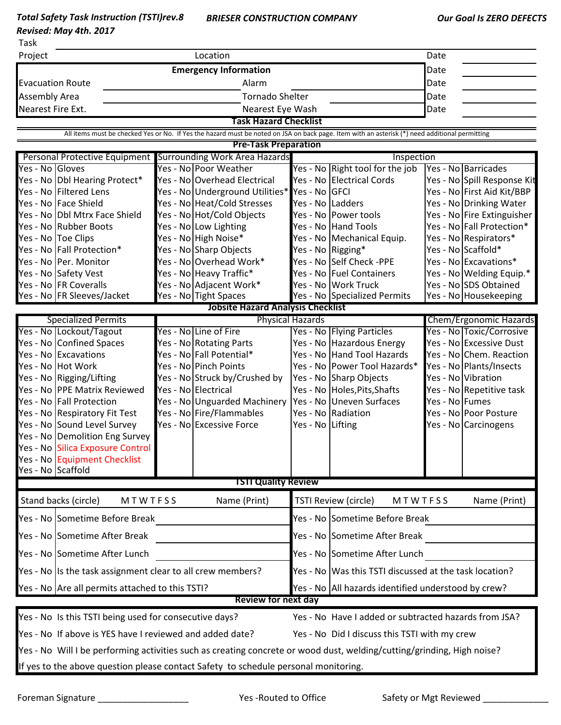*Total Safety Task Instruction (TSTI)rev.8 Revised: May 4th. 2017*

Task

| i dSK                                                                                                                                          |                                                                                                                        |  |                                                       |                                                        |                                                              |                |                                                           |  |  |  |  |  |  |
|------------------------------------------------------------------------------------------------------------------------------------------------|------------------------------------------------------------------------------------------------------------------------|--|-------------------------------------------------------|--------------------------------------------------------|--------------------------------------------------------------|----------------|-----------------------------------------------------------|--|--|--|--|--|--|
| Project                                                                                                                                        |                                                                                                                        |  | Location                                              |                                                        |                                                              | Date           |                                                           |  |  |  |  |  |  |
|                                                                                                                                                |                                                                                                                        |  | <b>Emergency Information</b>                          |                                                        |                                                              | Date           |                                                           |  |  |  |  |  |  |
| <b>Evacuation Route</b>                                                                                                                        |                                                                                                                        |  | Alarm                                                 |                                                        |                                                              | Date           |                                                           |  |  |  |  |  |  |
| <b>Assembly Area</b>                                                                                                                           |                                                                                                                        |  | <b>Tornado Shelter</b>                                |                                                        |                                                              | Date           |                                                           |  |  |  |  |  |  |
| Nearest Fire Ext.                                                                                                                              |                                                                                                                        |  | Nearest Eye Wash                                      |                                                        |                                                              | Date           |                                                           |  |  |  |  |  |  |
|                                                                                                                                                | <b>Task Hazard Checklist</b>                                                                                           |  |                                                       |                                                        |                                                              |                |                                                           |  |  |  |  |  |  |
| All items must be checked Yes or No. If Yes the hazard must be noted on JSA on back page. Item with an asterisk (*) need additional permitting |                                                                                                                        |  |                                                       |                                                        |                                                              |                |                                                           |  |  |  |  |  |  |
| <b>Pre-Task Preparation</b><br><b>Surrounding Work Area Hazards</b><br>Inspection                                                              |                                                                                                                        |  |                                                       |                                                        |                                                              |                |                                                           |  |  |  |  |  |  |
| Yes - No Gloves                                                                                                                                | Personal Protective Equipment                                                                                          |  |                                                       |                                                        |                                                              |                |                                                           |  |  |  |  |  |  |
|                                                                                                                                                | Yes - No Dbl Hearing Protect*                                                                                          |  | Yes - No Poor Weather<br>Yes - No Overhead Electrical |                                                        | Yes - No Right tool for the job<br>Yes - No Electrical Cords |                | Yes - No Barricades                                       |  |  |  |  |  |  |
|                                                                                                                                                | Yes - No Filtered Lens                                                                                                 |  | Yes - No Underground Utilities* Yes - No GFCI         |                                                        |                                                              |                | Yes - No Spill Response Kit<br>Yes - No First Aid Kit/BBP |  |  |  |  |  |  |
|                                                                                                                                                | Yes - No Face Shield                                                                                                   |  | Yes - No Heat/Cold Stresses                           | Yes - No Ladders                                       |                                                              |                | Yes - No Drinking Water                                   |  |  |  |  |  |  |
|                                                                                                                                                | Yes - No Dbl Mtrx Face Shield                                                                                          |  | Yes - No Hot/Cold Objects                             |                                                        | Yes - No Power tools                                         |                | Yes - No Fire Extinguisher                                |  |  |  |  |  |  |
|                                                                                                                                                | Yes - No Rubber Boots                                                                                                  |  | Yes - No Low Lighting                                 |                                                        | Yes - No Hand Tools                                          |                | Yes - No Fall Protection*                                 |  |  |  |  |  |  |
|                                                                                                                                                | Yes - No Toe Clips                                                                                                     |  | Yes - No High Noise*                                  |                                                        | Yes - No Mechanical Equip.                                   |                | Yes - No Respirators*                                     |  |  |  |  |  |  |
|                                                                                                                                                | Yes - No Fall Protection*                                                                                              |  | Yes - No Sharp Objects                                |                                                        | Yes - No Rigging*                                            |                | Yes - No Scaffold*                                        |  |  |  |  |  |  |
|                                                                                                                                                | Yes - No Per. Monitor                                                                                                  |  | Yes - No Overhead Work*                               |                                                        | Yes - No Self Check -PPE                                     |                | Yes - No Excavations*                                     |  |  |  |  |  |  |
|                                                                                                                                                | Yes - No Safety Vest                                                                                                   |  | Yes - No Heavy Traffic*                               |                                                        | Yes - No Fuel Containers                                     |                | Yes - No Welding Equip.*                                  |  |  |  |  |  |  |
|                                                                                                                                                | Yes - No FR Coveralls                                                                                                  |  | Yes - No Adjacent Work*                               |                                                        | Yes - No Work Truck                                          |                | Yes - No SDS Obtained                                     |  |  |  |  |  |  |
|                                                                                                                                                | Yes - No FR Sleeves/Jacket                                                                                             |  | Yes - No Tight Spaces                                 |                                                        | Yes - No Specialized Permits                                 |                | Yes - No Housekeeping                                     |  |  |  |  |  |  |
|                                                                                                                                                |                                                                                                                        |  | <b>Jobsite Hazard Analysis Checklist</b>              |                                                        |                                                              |                |                                                           |  |  |  |  |  |  |
|                                                                                                                                                | <b>Specialized Permits</b>                                                                                             |  |                                                       | <b>Physical Hazards</b>                                |                                                              |                | Chem/Ergonomic Hazards                                    |  |  |  |  |  |  |
|                                                                                                                                                | Yes - No Lockout/Tagout                                                                                                |  | Yes - No Line of Fire                                 |                                                        | Yes - No Flying Particles                                    |                | Yes - No Toxic/Corrosive                                  |  |  |  |  |  |  |
|                                                                                                                                                | Yes - No Confined Spaces<br>Yes - No Excavations                                                                       |  | Yes - No Rotating Parts<br>Yes - No Fall Potential*   |                                                        | Yes - No Hazardous Energy<br>Yes - No Hand Tool Hazards      |                | Yes - No Excessive Dust                                   |  |  |  |  |  |  |
|                                                                                                                                                | Yes - No Hot Work                                                                                                      |  | Yes - No Pinch Points                                 |                                                        | Yes - No Power Tool Hazards*                                 |                | Yes - No Chem. Reaction<br>Yes - No Plants/Insects        |  |  |  |  |  |  |
|                                                                                                                                                | Yes - No Rigging/Lifting                                                                                               |  | Yes - No Struck by/Crushed by                         |                                                        | Yes - No Sharp Objects                                       |                | Yes - No Vibration                                        |  |  |  |  |  |  |
|                                                                                                                                                | Yes - No PPE Matrix Reviewed                                                                                           |  | Yes - No Electrical                                   |                                                        | Yes - No Holes, Pits, Shafts                                 |                | Yes - No Repetitive task                                  |  |  |  |  |  |  |
|                                                                                                                                                | Yes - No Fall Protection                                                                                               |  | Yes - No Unguarded Machinery                          |                                                        | Yes - No Uneven Surfaces                                     | Yes - No Fumes |                                                           |  |  |  |  |  |  |
|                                                                                                                                                | Yes - No Respiratory Fit Test                                                                                          |  | Yes - No Fire/Flammables                              |                                                        | Yes - No Radiation                                           |                | Yes - No Poor Posture                                     |  |  |  |  |  |  |
|                                                                                                                                                | Yes - No Sound Level Survey                                                                                            |  | Yes - No Excessive Force                              | Yes - No Lifting                                       |                                                              |                | Yes - No Carcinogens                                      |  |  |  |  |  |  |
|                                                                                                                                                | Yes - No Demolition Eng Survey                                                                                         |  |                                                       |                                                        |                                                              |                |                                                           |  |  |  |  |  |  |
|                                                                                                                                                | Yes - No Silica Exposure Control                                                                                       |  |                                                       |                                                        |                                                              |                |                                                           |  |  |  |  |  |  |
|                                                                                                                                                | Yes - No Equipment Checklist                                                                                           |  |                                                       |                                                        |                                                              |                |                                                           |  |  |  |  |  |  |
| Yes - No Scaffold                                                                                                                              |                                                                                                                        |  |                                                       |                                                        |                                                              |                |                                                           |  |  |  |  |  |  |
|                                                                                                                                                |                                                                                                                        |  | <b>TSTI Quality Review</b>                            |                                                        |                                                              |                |                                                           |  |  |  |  |  |  |
|                                                                                                                                                | Stand backs (circle)<br>MTWTFSS                                                                                        |  | Name (Print)                                          | <b>TSTI Review (circle)</b><br>MTWTFSS<br>Name (Print) |                                                              |                |                                                           |  |  |  |  |  |  |
|                                                                                                                                                | Yes - No Sometime Before Break                                                                                         |  |                                                       |                                                        | Yes - No Sometime Before Break                               |                |                                                           |  |  |  |  |  |  |
|                                                                                                                                                | Yes - No Sometime After Break                                                                                          |  |                                                       |                                                        | Yes - No Sometime After Break                                |                |                                                           |  |  |  |  |  |  |
|                                                                                                                                                | Yes - No Sometime After Lunch                                                                                          |  |                                                       |                                                        | Yes - No Sometime After Lunch                                |                |                                                           |  |  |  |  |  |  |
|                                                                                                                                                | Yes - No Is the task assignment clear to all crew members?                                                             |  |                                                       |                                                        | Yes - No Was this TSTI discussed at the task location?       |                |                                                           |  |  |  |  |  |  |
|                                                                                                                                                | Yes - No Are all permits attached to this TSTI?                                                                        |  |                                                       |                                                        | Yes - No All hazards identified understood by crew?          |                |                                                           |  |  |  |  |  |  |
|                                                                                                                                                |                                                                                                                        |  | Review for next day                                   |                                                        |                                                              |                |                                                           |  |  |  |  |  |  |
|                                                                                                                                                | Yes - No Is this TSTI being used for consecutive days?                                                                 |  |                                                       |                                                        | Yes - No Have I added or subtracted hazards from JSA?        |                |                                                           |  |  |  |  |  |  |
|                                                                                                                                                | Yes - No If above is YES have I reviewed and added date?<br>Yes - No Did I discuss this TSTI with my crew              |  |                                                       |                                                        |                                                              |                |                                                           |  |  |  |  |  |  |
|                                                                                                                                                | Yes - No Will I be performing activities such as creating concrete or wood dust, welding/cutting/grinding, High noise? |  |                                                       |                                                        |                                                              |                |                                                           |  |  |  |  |  |  |
| If yes to the above question please contact Safety to schedule personal monitoring.                                                            |                                                                                                                        |  |                                                       |                                                        |                                                              |                |                                                           |  |  |  |  |  |  |